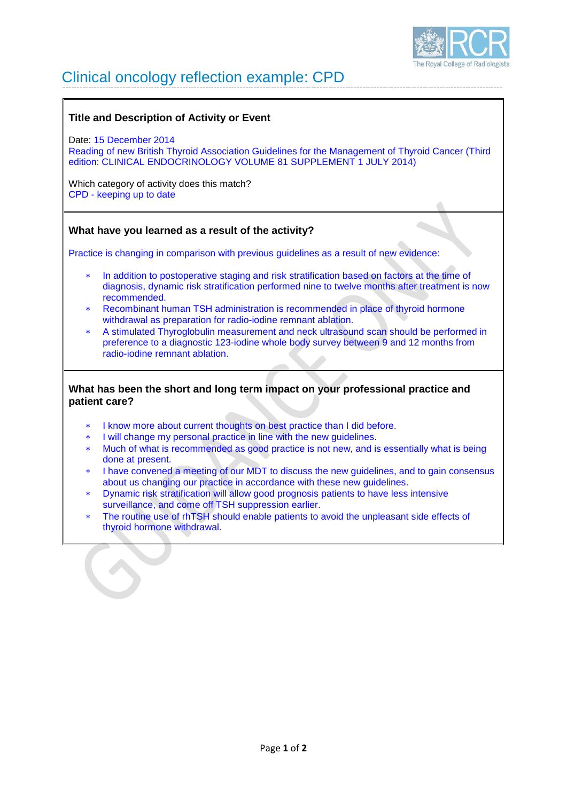

# Clinical oncology reflection example: CPD

## **Title and Description of Activity or Event**

Date: 15 December 2014 Reading of new British Thyroid Association Guidelines for the Management of Thyroid Cancer (Third edition: CLINICAL ENDOCRINOLOGY VOLUME 81 SUPPLEMENT 1 JULY 2014)

Which category of activity does this match? CPD - keeping up to date

## **What have you learned as a result of the activity?**

Practice is changing in comparison with previous guidelines as a result of new evidence:

- In addition to postoperative staging and risk stratification based on factors at the time of diagnosis, dynamic risk stratification performed nine to twelve months after treatment is now recommended.
- Recombinant human TSH administration is recommended in place of thyroid hormone withdrawal as preparation for radio-iodine remnant ablation.
- A stimulated Thyroglobulin measurement and neck ultrasound scan should be performed in preference to a diagnostic 123-iodine whole body survey between 9 and 12 months from radio-iodine remnant ablation.

### **What has been the short and long term impact on your professional practice and patient care?**

- I know more about current thoughts on best practice than I did before.
- I will change my personal practice in line with the new guidelines.
- ∗ Much of what is recommended as good practice is not new, and is essentially what is being done at present.
- ∗ I have convened a meeting of our MDT to discuss the new guidelines, and to gain consensus about us changing our practice in accordance with these new guidelines.
- ∗ Dynamic risk stratification will allow good prognosis patients to have less intensive surveillance, and come off TSH suppression earlier.
- The routine use of rhTSH should enable patients to avoid the unpleasant side effects of thyroid hormone withdrawal.